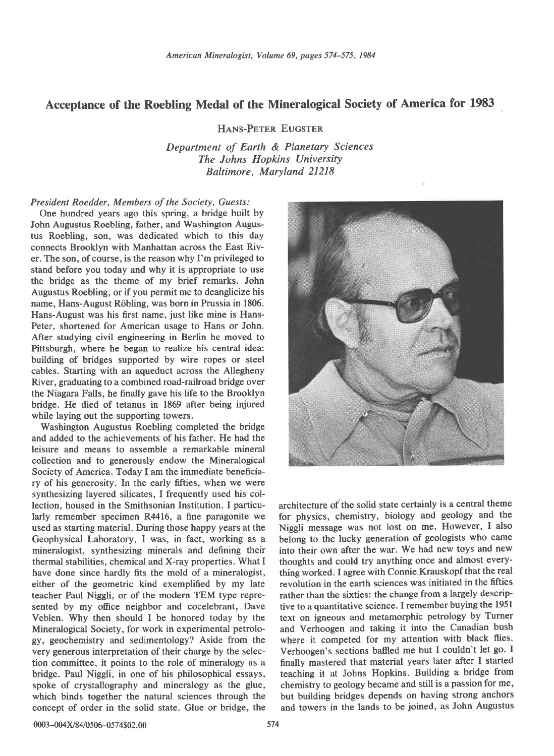## Acceptance of the Roebling Medal of the Mineralogical Society of America for 1983

HANS-PETER EUGSTER

Department of Earth & Planetary Sciences The Johns Hopkins University Baltimore, Maryland 21218

## President Roedder, Members of the Society, Guests:

One hundred years ago this spring, a bridge built by John Augustus Roebling, father, and Washington Augustus Roebling, son, was dedicated which to this day connects Brooklyn with Manhattan across the East River. The son, of course, is the reason why I'm privileged to stand before you today and why it is appropriate to use the bridge as the theme of my brief remarks. John Augustus Roebling, or if you permit me to deanglicize his name, Hans-August Röbling, was born in Prussia in 1806. Hans-August was his first name, just like mine is Hans-Peter, shortened for American usage to Hans or John. After studying civil engineering in Berlin he moved to Pittsburgh, where he began to realize his central idea: building of bridges supported by wire ropes or steel cables. Starting with an aqueduct across the Allegheny River, graduating to a combined road-railroad bridge over the Niagara Falls, he finally gave his life to the Brooklyn bridge. He died of tetanus in 1869 after being injured while laying out the supporting towers.

Washington Augustus Roebling completed the bridge and added to the achievements of his father. He had the leisure and means to assemble a remarkable mineral collection and to generously endow the Mineralogical Society of America. Today I am the immediate beneficiary of his generosity. In the early fifties, when we were synthesizing layered silicates, I frequently used his collection, housed in the Smithsonian Institution. I particularly remember specimen R4416, a fine paragonite we used as starting material. During those happy years at the Geophysical Laboratory, I was, in fact, working as a mineralogist, synthesizing minerals and defining their thermal stabilities, chemical and X-ray properties. What I have done since hardly fits the mold of a mineralogist, either of the geometric kind exemplified by my late teacher Paul Niggli, or of the modern TEM type represented by my office neighbor and cocelebrant, Dave Veblen. Why then should I be honored today by the Mineralogical Society, for work in experimental petrology, geochemistry and sedimentology? Aside from the very generous interpretation of their charge by the selection committee, it points to the role of mineralogy as a bridge. Paul Niggli, in one of his philosophical essays, spoke of crystallography and mineralogy as the glue, which binds together the natural sciences through the concept of order in the solid state. Glue or bridge, the



architecture of the solid state certainly is a central theme for physics, chemistry, biology and geology and the Niggli message was not lost on me. However, I also belong to the lucky generation of geologists who came into their own after the war. We had new toys and new thoughts and could try anything once and almost everything worked. I agree with Connie Krauskopf that the real revolution in the earth sciences was initiated in the fifties rather than the sixties: the change from a largely descriptive to a quantitative science. I remember buying the l95l text on igneous and metamorphic petrology by Turner and Verhoogen and taking it into the Canadian bush where it competed for my attention with black flies. Verhoogen's sections bafled me but I couldn't let go. I finally mastered that material years later after I started teaching it at Johns Hopkins. Building a bridge from chemistry to geoiogy became and still is a passion for me, but building bridges depends on having strong anchors and towers in the lands to be joined, as John Augustus